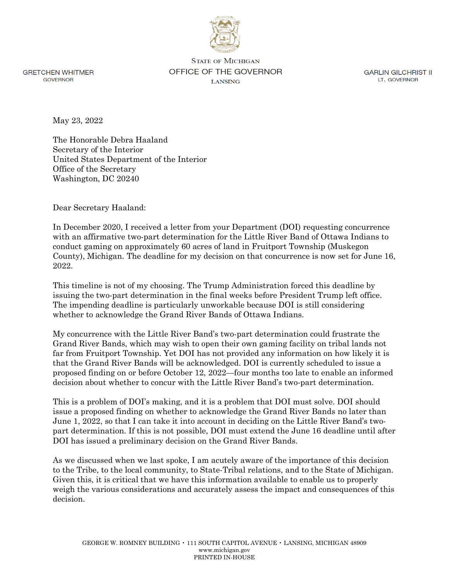

**GRETCHEN WHITMER GOVERNOR** 

**STATE OF MICHIGAN** OFFICE OF THE GOVERNOR **LANSING** 

**GARLIN GILCHRIST II** LT. GOVERNOR

May 23, 2022

The Honorable Debra Haaland Secretary of the Interior United States Department of the Interior Office of the Secretary Washington, DC 20240

Dear Secretary Haaland:

In December 2020, I received a letter from your Department (DOI) requesting concurrence with an affirmative two-part determination for the Little River Band of Ottawa Indians to conduct gaming on approximately 60 acres of land in Fruitport Township (Muskegon County), Michigan. The deadline for my decision on that concurrence is now set for June 16, 2022.

This timeline is not of my choosing. The Trump Administration forced this deadline by issuing the two-part determination in the final weeks before President Trump left office. The impending deadline is particularly unworkable because DOI is still considering whether to acknowledge the Grand River Bands of Ottawa Indians.

My concurrence with the Little River Band's two-part determination could frustrate the Grand River Bands, which may wish to open their own gaming facility on tribal lands not far from Fruitport Township. Yet DOI has not provided any information on how likely it is that the Grand River Bands will be acknowledged. DOI is currently scheduled to issue a proposed finding on or before October 12, 2022—four months too late to enable an informed decision about whether to concur with the Little River Band's two-part determination.

This is a problem of DOI's making, and it is a problem that DOI must solve. DOI should issue a proposed finding on whether to acknowledge the Grand River Bands no later than June 1, 2022, so that I can take it into account in deciding on the Little River Band's twopart determination. If this is not possible, DOI must extend the June 16 deadline until after DOI has issued a preliminary decision on the Grand River Bands.

As we discussed when we last spoke, I am acutely aware of the importance of this decision to the Tribe, to the local community, to State-Tribal relations, and to the State of Michigan. Given this, it is critical that we have this information available to enable us to properly weigh the various considerations and accurately assess the impact and consequences of this decision.